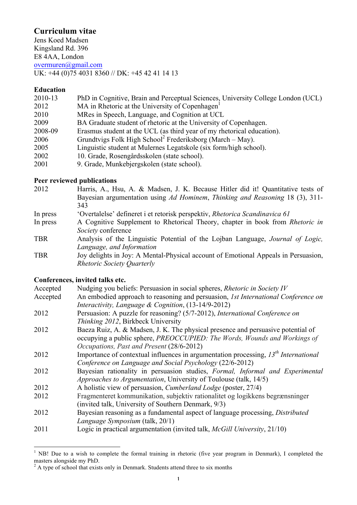# **Curriculum vitae**

Jens Koed Madsen Kingsland Rd. 396 E8 4AA, London overmuren@gmail.com UK: +44 (0)75 4031 8360 // DK: +45 42 41 14 13

### **Education**

| 2010-13 | PhD in Cognitive, Brain and Perceptual Sciences, University College London (UCL) |
|---------|----------------------------------------------------------------------------------|
| 2012    | MA in Rhetoric at the University of Copenhagen <sup>1</sup>                      |
| 2010    | MRes in Speech, Language, and Cognition at UCL                                   |
| 2009    | BA Graduate student of rhetoric at the University of Copenhagen.                 |
| 2008-09 | Erasmus student at the UCL (as third year of my rhetorical education).           |
| 2006    | Grundtvigs Folk High School <sup>2</sup> Frederiksborg (March – May).            |
| 2005    | Linguistic student at Mulernes Legatskole (six form/high school).                |
| 2002    | 10. Grade, Rosengårdsskolen (state school).                                      |
| 2001    | 9. Grade, Munkebjergskolen (state school).                                       |

#### **Peer reviewed publications**

| 2012       | Harris, A., Hsu, A. & Madsen, J. K. Because Hitler did it! Quantitative tests of     |
|------------|--------------------------------------------------------------------------------------|
|            | Bayesian argumentation using Ad Hominem, Thinking and Reasoning 18 (3), 311-         |
|            | 343                                                                                  |
| In press   | 'Overtalelse' defineret i et retorisk perspektiv, Rhetorica Scandinavica 61          |
| In press   | A Cognitive Supplement to Rhetorical Theory, chapter in book from <i>Rhetoric in</i> |
|            | Society conference                                                                   |
| <b>TBR</b> | Analysis of the Linguistic Potential of the Lojban Language, Journal of Logic,       |
|            | Language, and Information                                                            |
| <b>TBR</b> | Joy delights in Joy: A Mental-Physical account of Emotional Appeals in Persuasion,   |
|            | <b>Rhetoric Society Quarterly</b>                                                    |
|            |                                                                                      |

### **Conferences, invited talks etc.**

| Accepted | Nudging you beliefs: Persuasion in social spheres, Rhetoric in Society IV             |
|----------|---------------------------------------------------------------------------------------|
| Accepted | An embodied approach to reasoning and persuasion, 1st International Conference on     |
|          | Interactivity, Language & Cognition, (13-14/9-2012)                                   |
| 2012     | Persuasion: A puzzle for reasoning? (5/7-2012), International Conference on           |
|          | <i>Thinking 2012</i> , Birkbeck University                                            |
| 2012     | Baeza Ruiz, A. & Madsen, J. K. The physical presence and persuasive potential of      |
|          | occupying a public sphere, PREOCCUPIED: The Words, Wounds and Workings of             |
|          | Occupations, Past and Present (28/6-2012)                                             |
| 2012     | Importance of contextual influences in argumentation processing, $13th International$ |
|          | Conference on Language and Social Psychology (22/6-2012)                              |
| 2012     | Bayesian rationality in persuasion studies, <i>Formal, Informal and Experimental</i>  |
|          | <i>Approaches to Argumentation</i> , University of Toulouse (talk, 14/5)              |

- 2012 A holistic view of persuasion, *Cumberland Lodge* (poster, 27/4)
- 2012 Fragmenteret kommunikation, subjektiv rationalitet og logikkens begrænsninger (invited talk, University of Southern Denmark, 9/3)
- 2012 Bayesian reasoning as a fundamental aspect of language processing, *Distributed Language Symposium* (talk, 20/1)
- 2011 Logic in practical argumentation (invited talk, *McGill University*, 21/10)

<sup>&</sup>lt;sup>1</sup> NB! Due to a wish to complete the formal training in rhetoric (five year program in Denmark), I completed the masters alongside my PhD.<br><sup>2</sup> A type of school that exists only in Denmark. Students attend three to six months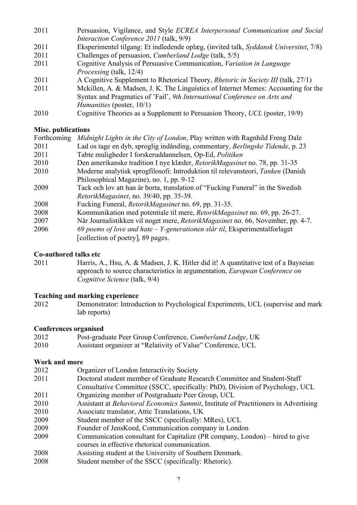- 2011 Persuasion, Vigilance, and Style *ECREA Interpersonal Communication and Social Interaction Conference 2011* (talk, 9/9)
- 2011 Eksperimentel tilgang: Et indledende oplæg, (invited talk, *Syddansk Universitet*, 7/8)
- 2011 Challenges of persuasion, *Cumberland Lodge* (talk, 5/5)
- 2011 Cognitive Analysis of Persuasive Communication, *Variation in Language Processing* (talk, 12/4)
- 2011 A Cognitive Supplement to Rhetorical Theory, *Rhetoric in Society III* (talk, 27/1)
- 2011 Mckillen, A. & Madsen, J. K. The Linguistics of Internet Memes: Accounting for the Syntax and Pragmatics of 'Fail', *9th International Conference on Arts and Humanities* (poster, 10/1)
- 2010 Cognitive Theories as a Supplement to Persuasion Theory, *UCL* (poster, 19/9)

## **Misc. publications**

| Forthcoming | Midnight Lights in the City of London, Play written with Ragnhild Freng Dale      |
|-------------|-----------------------------------------------------------------------------------|
| 2011        | Lad os tage en dyb, sproglig indånding, commentary, Berlingske Tidende, p. 23     |
| 2011        | Tabte muligheder I forskeruddannelsen, Op-Ed, Politiken                           |
| 2010        | Den amerikanske tradition I nye klæder, <i>RetorikMagasinet</i> no. 78, pp. 31-35 |
| 2010        | Moderne analytisk sprogfilosofi: Introduktion til relevansteori, Tanken (Danish   |
|             | Philosophical Magazine), no. 1, pp. 9-12                                          |
| 2009        | Tack och lov att han är borta, translation of "Fucking Funeral" in the Swedish    |
|             | RetorikMagasinet, no. 39/40, pp. 35-39.                                           |
| 2008        | Fucking Funeral, <i>RetorikMagasinet</i> no. 69, pp. 31-35.                       |
| 2008        | Kommunikation med potentiale til mere, RetorikMagasinet no. 69, pp. 26-27.        |
| 2007        | Når Journalistikken vil noget mere, RetorikMagasinet no. 66, November, pp. 4-7.   |
| 2006        | 69 poems of love and hate $-$ Y-generationen slår til, Eksperimentalforlaget      |
|             | [collection of poetry], 89 pages.                                                 |

### **Co-authored talks etc**

2011 Harris, A., Hsu, A. & Madsen, J. K. Hitler did it! A quantitative test of a Bayseian approach to source characteristics in argumentation, *European Conference on Cognitive Science* (talk, 9/4)

### **Teaching and marking experience**

2012 Demonstrator: Introduction to Psychological Experiments, UCL (supervise and mark lab reports)

### **Conferences organised**

- 2012 Post-graduate Peer Group Conference, *Cumberland Lodge*, UK
- 2010 Assistant organizer at "Relativity of Value" Conference, UCL

### **Work and more**

- 2012 Organizer of London Interactivity Society 2011 Doctoral student member of Graduate Research Committee and Student-Staff Consultative Committee (SSCC, specifically: PhD), Division of Psychology, UCL
- 2011 Organizing member of Postgraduate Peer Group, UCL
- 2010 Assistant at *Behavioral Economics Summit*, Institute of Practitioners in Advertising
- 2010 Associate translator, Attic Translations, UK
- 2009 Student member of the SSCC (specifically: MRes), UCL
- 2009 Founder of JensKoed, Communication company in London
- 2009 Communication consultant for Capitalize (PR company, London) hired to give courses in effective rhetorical communication.
- 2008 Assisting student at the University of Southern Denmark.
- 2008 Student member of the SSCC (specifically: Rhetoric).